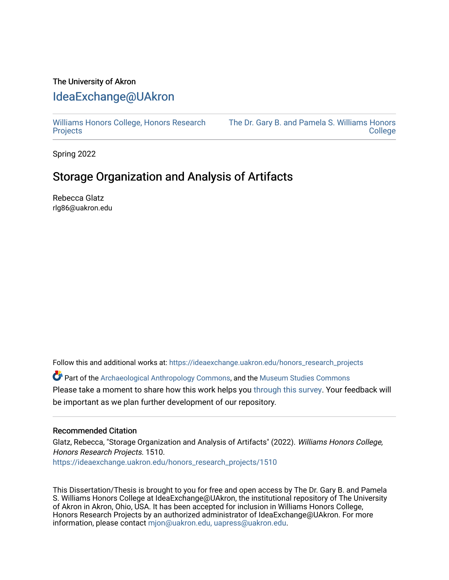# The University of Akron [IdeaExchange@UAkron](https://ideaexchange.uakron.edu/)

[Williams Honors College, Honors Research](https://ideaexchange.uakron.edu/honors_research_projects)  **[Projects](https://ideaexchange.uakron.edu/honors_research_projects)** 

[The Dr. Gary B. and Pamela S. Williams Honors](https://ideaexchange.uakron.edu/honorscollege_ideas)  [College](https://ideaexchange.uakron.edu/honorscollege_ideas) 

Spring 2022

# Storage Organization and Analysis of Artifacts

Rebecca Glatz rlg86@uakron.edu

Follow this and additional works at: [https://ideaexchange.uakron.edu/honors\\_research\\_projects](https://ideaexchange.uakron.edu/honors_research_projects?utm_source=ideaexchange.uakron.edu%2Fhonors_research_projects%2F1510&utm_medium=PDF&utm_campaign=PDFCoverPages) 

Part of the [Archaeological Anthropology Commons](http://network.bepress.com/hgg/discipline/319?utm_source=ideaexchange.uakron.edu%2Fhonors_research_projects%2F1510&utm_medium=PDF&utm_campaign=PDFCoverPages), and the [Museum Studies Commons](http://network.bepress.com/hgg/discipline/1366?utm_source=ideaexchange.uakron.edu%2Fhonors_research_projects%2F1510&utm_medium=PDF&utm_campaign=PDFCoverPages) Please take a moment to share how this work helps you [through this survey](http://survey.az1.qualtrics.com/SE/?SID=SV_eEVH54oiCbOw05f&URL=https://ideaexchange.uakron.edu/honors_research_projects/1510). Your feedback will be important as we plan further development of our repository.

### Recommended Citation

Glatz, Rebecca, "Storage Organization and Analysis of Artifacts" (2022). Williams Honors College, Honors Research Projects. 1510.

[https://ideaexchange.uakron.edu/honors\\_research\\_projects/1510](https://ideaexchange.uakron.edu/honors_research_projects/1510?utm_source=ideaexchange.uakron.edu%2Fhonors_research_projects%2F1510&utm_medium=PDF&utm_campaign=PDFCoverPages) 

This Dissertation/Thesis is brought to you for free and open access by The Dr. Gary B. and Pamela S. Williams Honors College at IdeaExchange@UAkron, the institutional repository of The University of Akron in Akron, Ohio, USA. It has been accepted for inclusion in Williams Honors College, Honors Research Projects by an authorized administrator of IdeaExchange@UAkron. For more information, please contact [mjon@uakron.edu, uapress@uakron.edu.](mailto:mjon@uakron.edu,%20uapress@uakron.edu)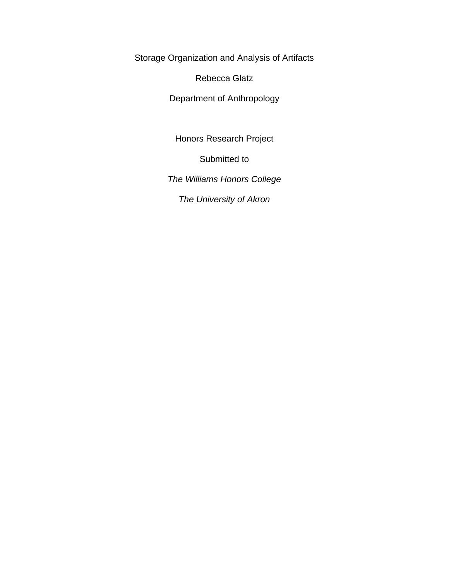Storage Organization and Analysis of Artifacts

Rebecca Glatz

Department of Anthropology

Honors Research Project

Submitted to

*The Williams Honors College* 

*The University of Akron*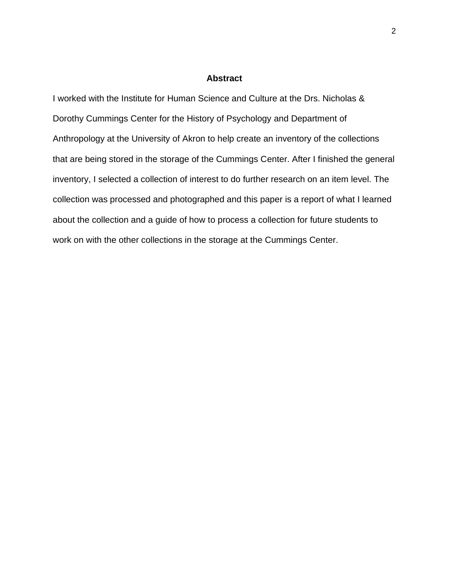### **Abstract**

I worked with the Institute for Human Science and Culture at the Drs. Nicholas & Dorothy Cummings Center for the History of Psychology and Department of Anthropology at the University of Akron to help create an inventory of the collections that are being stored in the storage of the Cummings Center. After I finished the general inventory, I selected a collection of interest to do further research on an item level. The collection was processed and photographed and this paper is a report of what I learned about the collection and a guide of how to process a collection for future students to work on with the other collections in the storage at the Cummings Center.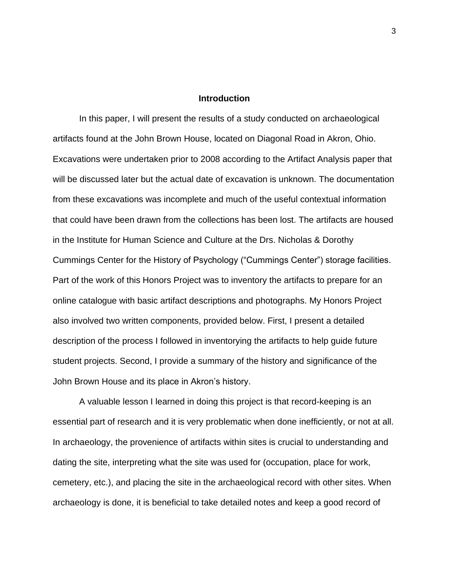#### **Introduction**

In this paper, I will present the results of a study conducted on archaeological artifacts found at the John Brown House, located on Diagonal Road in Akron, Ohio. Excavations were undertaken prior to 2008 according to the Artifact Analysis paper that will be discussed later but the actual date of excavation is unknown. The documentation from these excavations was incomplete and much of the useful contextual information that could have been drawn from the collections has been lost. The artifacts are housed in the Institute for Human Science and Culture at the Drs. Nicholas & Dorothy Cummings Center for the History of Psychology ("Cummings Center") storage facilities. Part of the work of this Honors Project was to inventory the artifacts to prepare for an online catalogue with basic artifact descriptions and photographs. My Honors Project also involved two written components, provided below. First, I present a detailed description of the process I followed in inventorying the artifacts to help guide future student projects. Second, I provide a summary of the history and significance of the John Brown House and its place in Akron's history.

A valuable lesson I learned in doing this project is that record-keeping is an essential part of research and it is very problematic when done inefficiently, or not at all. In archaeology, the provenience of artifacts within sites is crucial to understanding and dating the site, interpreting what the site was used for (occupation, place for work, cemetery, etc.), and placing the site in the archaeological record with other sites. When archaeology is done, it is beneficial to take detailed notes and keep a good record of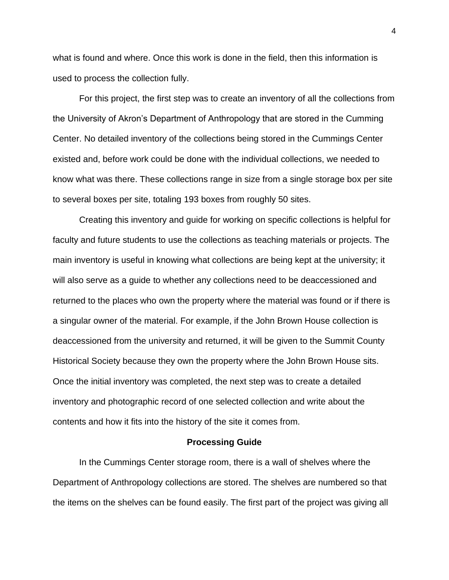what is found and where. Once this work is done in the field, then this information is used to process the collection fully.

For this project, the first step was to create an inventory of all the collections from the University of Akron's Department of Anthropology that are stored in the Cumming Center. No detailed inventory of the collections being stored in the Cummings Center existed and, before work could be done with the individual collections, we needed to know what was there. These collections range in size from a single storage box per site to several boxes per site, totaling 193 boxes from roughly 50 sites.

Creating this inventory and guide for working on specific collections is helpful for faculty and future students to use the collections as teaching materials or projects. The main inventory is useful in knowing what collections are being kept at the university; it will also serve as a guide to whether any collections need to be deaccessioned and returned to the places who own the property where the material was found or if there is a singular owner of the material. For example, if the John Brown House collection is deaccessioned from the university and returned, it will be given to the Summit County Historical Society because they own the property where the John Brown House sits. Once the initial inventory was completed, the next step was to create a detailed inventory and photographic record of one selected collection and write about the contents and how it fits into the history of the site it comes from.

#### **Processing Guide**

In the Cummings Center storage room, there is a wall of shelves where the Department of Anthropology collections are stored. The shelves are numbered so that the items on the shelves can be found easily. The first part of the project was giving all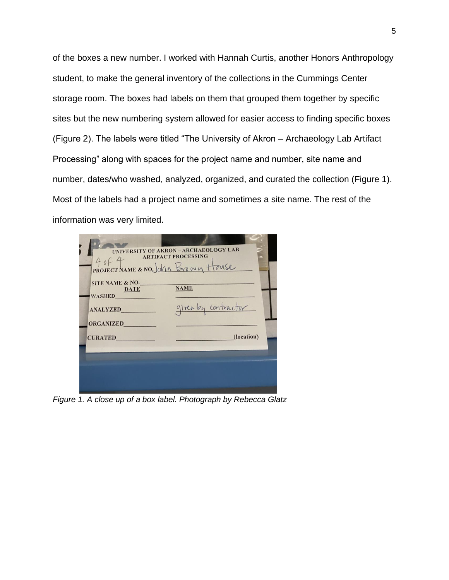of the boxes a new number. I worked with Hannah Curtis, another Honors Anthropology student, to make the general inventory of the collections in the Cummings Center storage room. The boxes had labels on them that grouped them together by specific sites but the new numbering system allowed for easier access to finding specific boxes (Figure 2). The labels were titled "The University of Akron – Archaeology Lab Artifact Processing" along with spaces for the project name and number, site name and number, dates/who washed, analyzed, organized, and curated the collection (Figure 1). Most of the labels had a project name and sometimes a site name. The rest of the information was very limited.

|                  | <b>UNIVERSITY OF AKRON - ARCHAEOLOGY LAB</b><br><b>ARTIFACT PROCESSING</b> |
|------------------|----------------------------------------------------------------------------|
| 4064             |                                                                            |
|                  | PROJECT NAME & NO John Brown House                                         |
| SITE NAME & NO.  |                                                                            |
| <b>DATE</b>      | <b>NAME</b>                                                                |
| <b>WASHED</b>    |                                                                            |
| <b>ANALYZED</b>  | giren by contractor                                                        |
| <b>ORGANIZED</b> |                                                                            |
| <b>CURATED</b>   | (location)                                                                 |
|                  |                                                                            |
|                  |                                                                            |
|                  |                                                                            |
|                  |                                                                            |
|                  |                                                                            |
|                  |                                                                            |

*Figure 1. A close up of a box label. Photograph by Rebecca Glatz*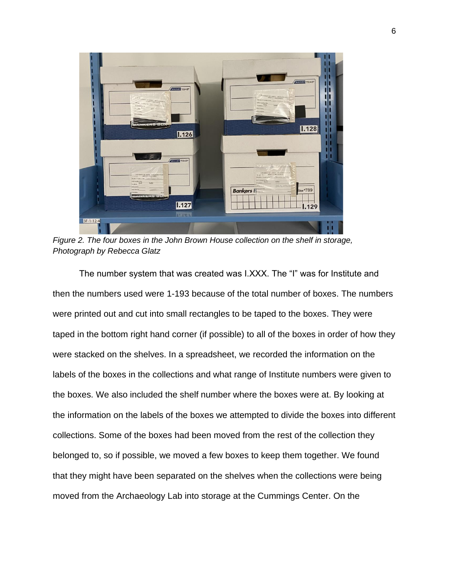

*Figure 2. The four boxes in the John Brown House collection on the shelf in storage, Photograph by Rebecca Glatz*

The number system that was created was I.XXX. The "I" was for Institute and then the numbers used were 1-193 because of the total number of boxes. The numbers were printed out and cut into small rectangles to be taped to the boxes. They were taped in the bottom right hand corner (if possible) to all of the boxes in order of how they were stacked on the shelves. In a spreadsheet, we recorded the information on the labels of the boxes in the collections and what range of Institute numbers were given to the boxes. We also included the shelf number where the boxes were at. By looking at the information on the labels of the boxes we attempted to divide the boxes into different collections. Some of the boxes had been moved from the rest of the collection they belonged to, so if possible, we moved a few boxes to keep them together. We found that they might have been separated on the shelves when the collections were being moved from the Archaeology Lab into storage at the Cummings Center. On the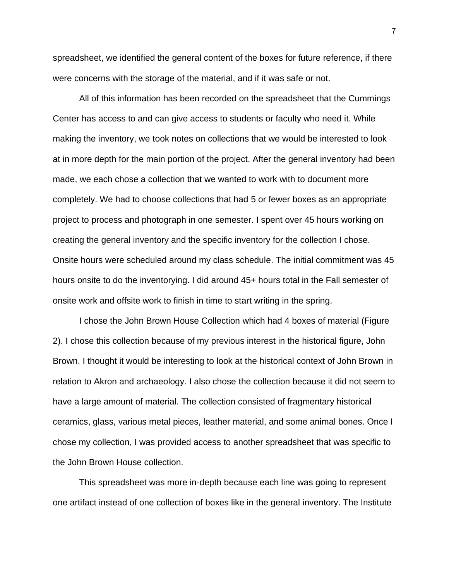spreadsheet, we identified the general content of the boxes for future reference, if there were concerns with the storage of the material, and if it was safe or not.

All of this information has been recorded on the spreadsheet that the Cummings Center has access to and can give access to students or faculty who need it. While making the inventory, we took notes on collections that we would be interested to look at in more depth for the main portion of the project. After the general inventory had been made, we each chose a collection that we wanted to work with to document more completely. We had to choose collections that had 5 or fewer boxes as an appropriate project to process and photograph in one semester. I spent over 45 hours working on creating the general inventory and the specific inventory for the collection I chose. Onsite hours were scheduled around my class schedule. The initial commitment was 45 hours onsite to do the inventorying. I did around 45+ hours total in the Fall semester of onsite work and offsite work to finish in time to start writing in the spring.

I chose the John Brown House Collection which had 4 boxes of material (Figure 2). I chose this collection because of my previous interest in the historical figure, John Brown. I thought it would be interesting to look at the historical context of John Brown in relation to Akron and archaeology. I also chose the collection because it did not seem to have a large amount of material. The collection consisted of fragmentary historical ceramics, glass, various metal pieces, leather material, and some animal bones. Once I chose my collection, I was provided access to another spreadsheet that was specific to the John Brown House collection.

This spreadsheet was more in-depth because each line was going to represent one artifact instead of one collection of boxes like in the general inventory. The Institute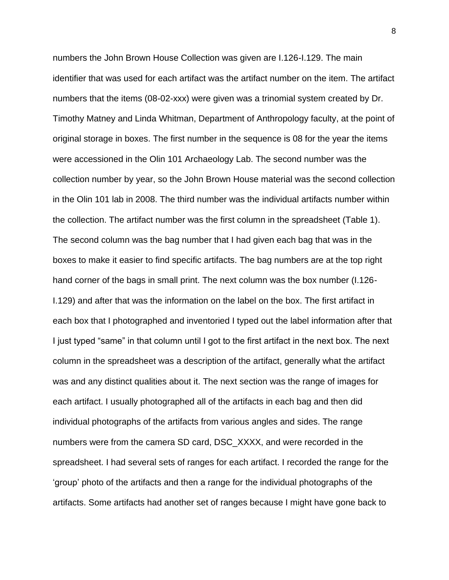numbers the John Brown House Collection was given are I.126-I.129. The main identifier that was used for each artifact was the artifact number on the item. The artifact numbers that the items (08-02-xxx) were given was a trinomial system created by Dr. Timothy Matney and Linda Whitman, Department of Anthropology faculty, at the point of original storage in boxes. The first number in the sequence is 08 for the year the items were accessioned in the Olin 101 Archaeology Lab. The second number was the collection number by year, so the John Brown House material was the second collection in the Olin 101 lab in 2008. The third number was the individual artifacts number within the collection. The artifact number was the first column in the spreadsheet (Table 1). The second column was the bag number that I had given each bag that was in the boxes to make it easier to find specific artifacts. The bag numbers are at the top right hand corner of the bags in small print. The next column was the box number (I.126- I.129) and after that was the information on the label on the box. The first artifact in each box that I photographed and inventoried I typed out the label information after that I just typed "same" in that column until I got to the first artifact in the next box. The next column in the spreadsheet was a description of the artifact, generally what the artifact was and any distinct qualities about it. The next section was the range of images for each artifact. I usually photographed all of the artifacts in each bag and then did individual photographs of the artifacts from various angles and sides. The range numbers were from the camera SD card, DSC\_XXXX, and were recorded in the spreadsheet. I had several sets of ranges for each artifact. I recorded the range for the 'group' photo of the artifacts and then a range for the individual photographs of the artifacts. Some artifacts had another set of ranges because I might have gone back to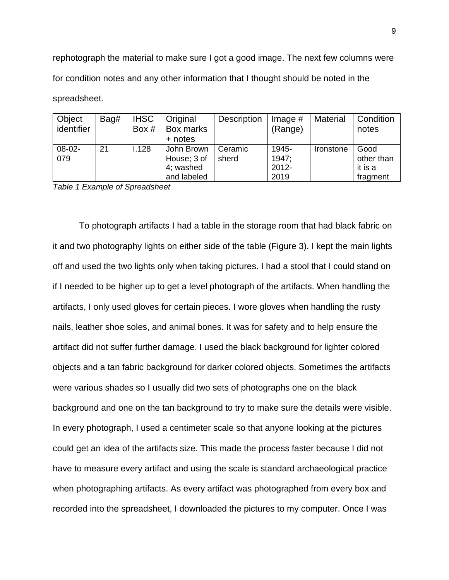rephotograph the material to make sure I got a good image. The next few columns were for condition notes and any other information that I thought should be noted in the spreadsheet.

| Object     | Bag# | <b>IHSC</b> | Original    | Description | Image $#$ | <b>Material</b> | Condition  |
|------------|------|-------------|-------------|-------------|-----------|-----------------|------------|
| identifier |      | Box #       | Box marks   |             | (Range)   |                 | notes      |
|            |      |             | + notes     |             |           |                 |            |
| $08-02-$   | 21   | 1.128       | John Brown  | Ceramic     | 1945-     | Ironstone       | Good       |
| 079        |      |             | House; 3 of | sherd       | 1947:     |                 | other than |
|            |      |             | 4; washed   |             | $2012 -$  |                 | it is a    |
|            |      |             | and labeled |             | 2019      |                 | fragment   |

*Table 1 Example of Spreadsheet*

To photograph artifacts I had a table in the storage room that had black fabric on it and two photography lights on either side of the table (Figure 3). I kept the main lights off and used the two lights only when taking pictures. I had a stool that I could stand on if I needed to be higher up to get a level photograph of the artifacts. When handling the artifacts, I only used gloves for certain pieces. I wore gloves when handling the rusty nails, leather shoe soles, and animal bones. It was for safety and to help ensure the artifact did not suffer further damage. I used the black background for lighter colored objects and a tan fabric background for darker colored objects. Sometimes the artifacts were various shades so I usually did two sets of photographs one on the black background and one on the tan background to try to make sure the details were visible. In every photograph, I used a centimeter scale so that anyone looking at the pictures could get an idea of the artifacts size. This made the process faster because I did not have to measure every artifact and using the scale is standard archaeological practice when photographing artifacts. As every artifact was photographed from every box and recorded into the spreadsheet, I downloaded the pictures to my computer. Once I was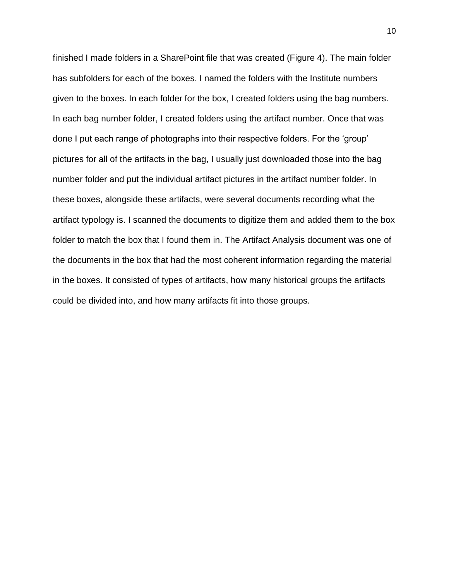finished I made folders in a SharePoint file that was created (Figure 4). The main folder has subfolders for each of the boxes. I named the folders with the Institute numbers given to the boxes. In each folder for the box, I created folders using the bag numbers. In each bag number folder, I created folders using the artifact number. Once that was done I put each range of photographs into their respective folders. For the 'group' pictures for all of the artifacts in the bag, I usually just downloaded those into the bag number folder and put the individual artifact pictures in the artifact number folder. In these boxes, alongside these artifacts, were several documents recording what the artifact typology is. I scanned the documents to digitize them and added them to the box folder to match the box that I found them in. The Artifact Analysis document was one of the documents in the box that had the most coherent information regarding the material in the boxes. It consisted of types of artifacts, how many historical groups the artifacts could be divided into, and how many artifacts fit into those groups.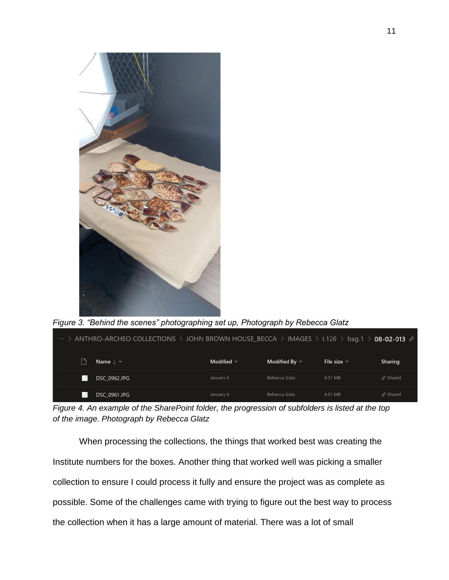

*Figure 3. "Behind the scenes" photographing set up, Photograph by Rebecca Glatz* > ANTHRO-ARCHEO COLLECTIONS > JOHN BROWN HOUSE\_BECCA > IMAGES > 1.126 > bag.1 > 08-02-013  $\beta^R$  $\Box$ Name  $\downarrow \; \check{}$ Modified  $\sim$ Modified By  $\vee$ File size  $\vee$ Sharing DSC\_0962.JPG January 6 Rebecca Glatz 4.57 MB <sub>g</sub>R Shared DSC\_0961.JPG Rebecca Glatz 4.57 MB

*Figure 4. An example of the SharePoint folder, the progression of subfolders is listed at the top of the image. Photograph by Rebecca Glatz*

When processing the collections, the things that worked best was creating the Institute numbers for the boxes. Another thing that worked well was picking a smaller collection to ensure I could process it fully and ensure the project was as complete as possible. Some of the challenges came with trying to figure out the best way to process the collection when it has a large amount of material. There was a lot of small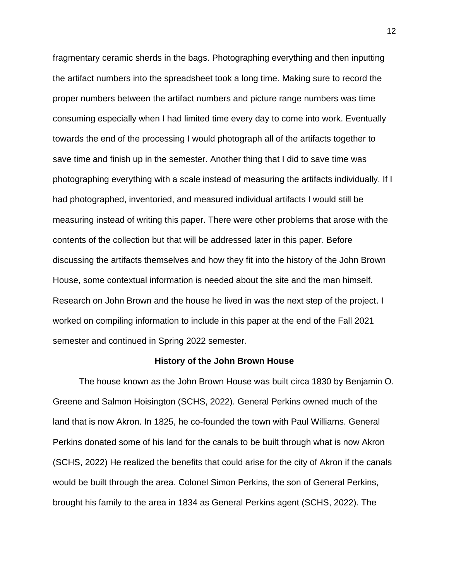fragmentary ceramic sherds in the bags. Photographing everything and then inputting the artifact numbers into the spreadsheet took a long time. Making sure to record the proper numbers between the artifact numbers and picture range numbers was time consuming especially when I had limited time every day to come into work. Eventually towards the end of the processing I would photograph all of the artifacts together to save time and finish up in the semester. Another thing that I did to save time was photographing everything with a scale instead of measuring the artifacts individually. If I had photographed, inventoried, and measured individual artifacts I would still be measuring instead of writing this paper. There were other problems that arose with the contents of the collection but that will be addressed later in this paper. Before discussing the artifacts themselves and how they fit into the history of the John Brown House, some contextual information is needed about the site and the man himself. Research on John Brown and the house he lived in was the next step of the project. I worked on compiling information to include in this paper at the end of the Fall 2021 semester and continued in Spring 2022 semester.

#### **History of the John Brown House**

The house known as the John Brown House was built circa 1830 by Benjamin O. Greene and Salmon Hoisington (SCHS, 2022). General Perkins owned much of the land that is now Akron. In 1825, he co-founded the town with Paul Williams. General Perkins donated some of his land for the canals to be built through what is now Akron (SCHS, 2022) He realized the benefits that could arise for the city of Akron if the canals would be built through the area. Colonel Simon Perkins, the son of General Perkins, brought his family to the area in 1834 as General Perkins agent (SCHS, 2022). The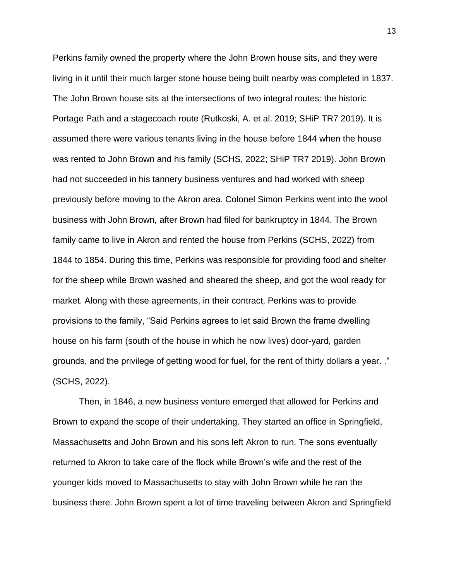Perkins family owned the property where the John Brown house sits, and they were living in it until their much larger stone house being built nearby was completed in 1837. The John Brown house sits at the intersections of two integral routes: the historic Portage Path and a stagecoach route (Rutkoski, A. et al. 2019; SHiP TR7 2019). It is assumed there were various tenants living in the house before 1844 when the house was rented to John Brown and his family (SCHS, 2022; SHiP TR7 2019). John Brown had not succeeded in his tannery business ventures and had worked with sheep previously before moving to the Akron area. Colonel Simon Perkins went into the wool business with John Brown, after Brown had filed for bankruptcy in 1844. The Brown family came to live in Akron and rented the house from Perkins (SCHS, 2022) from 1844 to 1854. During this time, Perkins was responsible for providing food and shelter for the sheep while Brown washed and sheared the sheep, and got the wool ready for market. Along with these agreements, in their contract, Perkins was to provide provisions to the family, "Said Perkins agrees to let said Brown the frame dwelling house on his farm (south of the house in which he now lives) door-yard, garden grounds, and the privilege of getting wood for fuel, for the rent of thirty dollars a year. ." (SCHS, 2022).

Then, in 1846, a new business venture emerged that allowed for Perkins and Brown to expand the scope of their undertaking. They started an office in Springfield, Massachusetts and John Brown and his sons left Akron to run. The sons eventually returned to Akron to take care of the flock while Brown's wife and the rest of the younger kids moved to Massachusetts to stay with John Brown while he ran the business there. John Brown spent a lot of time traveling between Akron and Springfield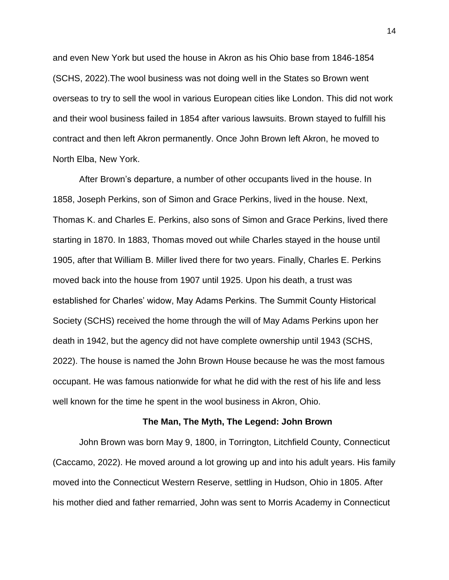and even New York but used the house in Akron as his Ohio base from 1846-1854 (SCHS, 2022).The wool business was not doing well in the States so Brown went overseas to try to sell the wool in various European cities like London. This did not work and their wool business failed in 1854 after various lawsuits. Brown stayed to fulfill his contract and then left Akron permanently. Once John Brown left Akron, he moved to North Elba, New York.

After Brown's departure, a number of other occupants lived in the house. In 1858, Joseph Perkins, son of Simon and Grace Perkins, lived in the house. Next, Thomas K. and Charles E. Perkins, also sons of Simon and Grace Perkins, lived there starting in 1870. In 1883, Thomas moved out while Charles stayed in the house until 1905, after that William B. Miller lived there for two years. Finally, Charles E. Perkins moved back into the house from 1907 until 1925. Upon his death, a trust was established for Charles' widow, May Adams Perkins. The Summit County Historical Society (SCHS) received the home through the will of May Adams Perkins upon her death in 1942, but the agency did not have complete ownership until 1943 (SCHS, 2022). The house is named the John Brown House because he was the most famous occupant. He was famous nationwide for what he did with the rest of his life and less well known for the time he spent in the wool business in Akron, Ohio.

#### **The Man, The Myth, The Legend: John Brown**

John Brown was born May 9, 1800, in Torrington, Litchfield County, Connecticut (Caccamo, 2022). He moved around a lot growing up and into his adult years. His family moved into the Connecticut Western Reserve, settling in Hudson, Ohio in 1805. After his mother died and father remarried, John was sent to Morris Academy in Connecticut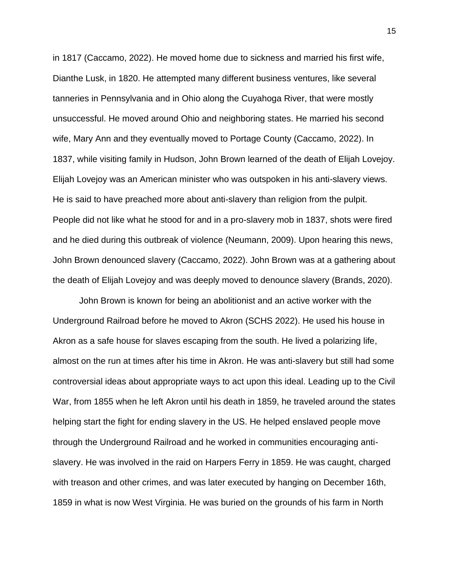in 1817 (Caccamo, 2022). He moved home due to sickness and married his first wife, Dianthe Lusk, in 1820. He attempted many different business ventures, like several tanneries in Pennsylvania and in Ohio along the Cuyahoga River, that were mostly unsuccessful. He moved around Ohio and neighboring states. He married his second wife, Mary Ann and they eventually moved to Portage County (Caccamo, 2022). In 1837, while visiting family in Hudson, John Brown learned of the death of Elijah Lovejoy. Elijah Lovejoy was an American minister who was outspoken in his anti-slavery views. He is said to have preached more about anti-slavery than religion from the pulpit. People did not like what he stood for and in a pro-slavery mob in 1837, shots were fired and he died during this outbreak of violence (Neumann, 2009). Upon hearing this news, John Brown denounced slavery (Caccamo, 2022). John Brown was at a gathering about the death of Elijah Lovejoy and was deeply moved to denounce slavery (Brands, 2020).

John Brown is known for being an abolitionist and an active worker with the Underground Railroad before he moved to Akron (SCHS 2022). He used his house in Akron as a safe house for slaves escaping from the south. He lived a polarizing life, almost on the run at times after his time in Akron. He was anti-slavery but still had some controversial ideas about appropriate ways to act upon this ideal. Leading up to the Civil War, from 1855 when he left Akron until his death in 1859, he traveled around the states helping start the fight for ending slavery in the US. He helped enslaved people move through the Underground Railroad and he worked in communities encouraging antislavery. He was involved in the raid on Harpers Ferry in 1859. He was caught, charged with treason and other crimes, and was later executed by hanging on December 16th, 1859 in what is now West Virginia. He was buried on the grounds of his farm in North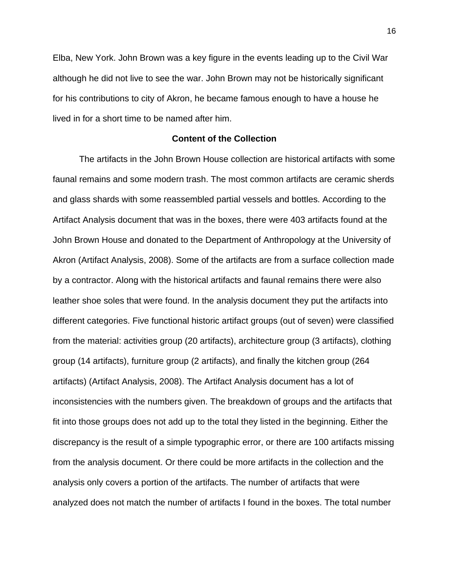Elba, New York. John Brown was a key figure in the events leading up to the Civil War although he did not live to see the war. John Brown may not be historically significant for his contributions to city of Akron, he became famous enough to have a house he lived in for a short time to be named after him.

# **Content of the Collection**

The artifacts in the John Brown House collection are historical artifacts with some faunal remains and some modern trash. The most common artifacts are ceramic sherds and glass shards with some reassembled partial vessels and bottles. According to the Artifact Analysis document that was in the boxes, there were 403 artifacts found at the John Brown House and donated to the Department of Anthropology at the University of Akron (Artifact Analysis, 2008). Some of the artifacts are from a surface collection made by a contractor. Along with the historical artifacts and faunal remains there were also leather shoe soles that were found. In the analysis document they put the artifacts into different categories. Five functional historic artifact groups (out of seven) were classified from the material: activities group (20 artifacts), architecture group (3 artifacts), clothing group (14 artifacts), furniture group (2 artifacts), and finally the kitchen group (264 artifacts) (Artifact Analysis, 2008). The Artifact Analysis document has a lot of inconsistencies with the numbers given. The breakdown of groups and the artifacts that fit into those groups does not add up to the total they listed in the beginning. Either the discrepancy is the result of a simple typographic error, or there are 100 artifacts missing from the analysis document. Or there could be more artifacts in the collection and the analysis only covers a portion of the artifacts. The number of artifacts that were analyzed does not match the number of artifacts I found in the boxes. The total number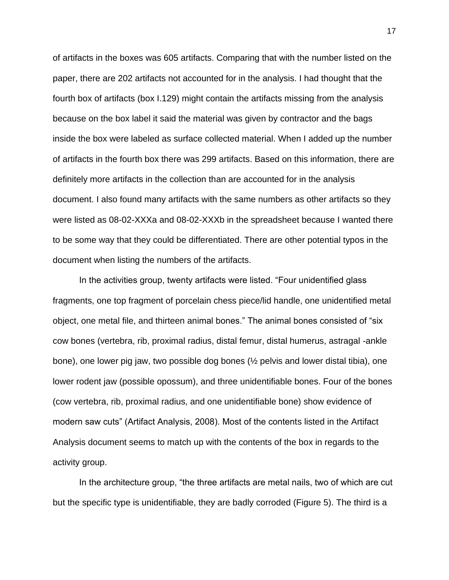of artifacts in the boxes was 605 artifacts. Comparing that with the number listed on the paper, there are 202 artifacts not accounted for in the analysis. I had thought that the fourth box of artifacts (box I.129) might contain the artifacts missing from the analysis because on the box label it said the material was given by contractor and the bags inside the box were labeled as surface collected material. When I added up the number of artifacts in the fourth box there was 299 artifacts. Based on this information, there are definitely more artifacts in the collection than are accounted for in the analysis document. I also found many artifacts with the same numbers as other artifacts so they were listed as 08-02-XXXa and 08-02-XXXb in the spreadsheet because I wanted there to be some way that they could be differentiated. There are other potential typos in the document when listing the numbers of the artifacts.

In the activities group, twenty artifacts were listed. "Four unidentified glass fragments, one top fragment of porcelain chess piece/lid handle, one unidentified metal object, one metal file, and thirteen animal bones." The animal bones consisted of "six cow bones (vertebra, rib, proximal radius, distal femur, distal humerus, astragal -ankle bone), one lower pig jaw, two possible dog bones (½ pelvis and lower distal tibia), one lower rodent jaw (possible opossum), and three unidentifiable bones. Four of the bones (cow vertebra, rib, proximal radius, and one unidentifiable bone) show evidence of modern saw cuts" (Artifact Analysis, 2008). Most of the contents listed in the Artifact Analysis document seems to match up with the contents of the box in regards to the activity group.

In the architecture group, "the three artifacts are metal nails, two of which are cut but the specific type is unidentifiable, they are badly corroded (Figure 5). The third is a

17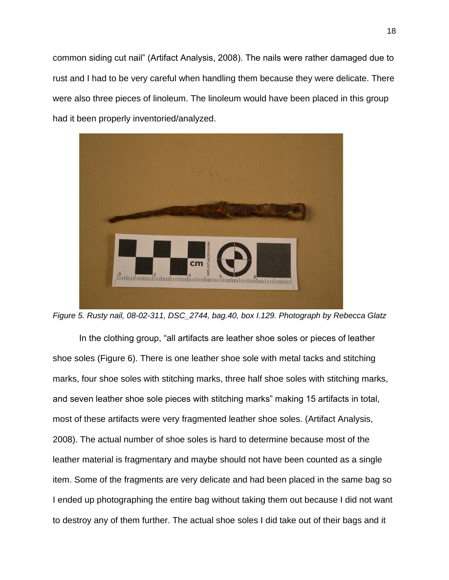common siding cut nail" (Artifact Analysis, 2008). The nails were rather damaged due to rust and I had to be very careful when handling them because they were delicate. There were also three pieces of linoleum. The linoleum would have been placed in this group had it been properly inventoried/analyzed.



*Figure 5. Rusty nail, 08-02-311, DSC\_2744, bag.40, box I.129. Photograph by Rebecca Glatz*

In the clothing group, "all artifacts are leather shoe soles or pieces of leather shoe soles (Figure 6). There is one leather shoe sole with metal tacks and stitching marks, four shoe soles with stitching marks, three half shoe soles with stitching marks, and seven leather shoe sole pieces with stitching marks" making 15 artifacts in total, most of these artifacts were very fragmented leather shoe soles. (Artifact Analysis, 2008). The actual number of shoe soles is hard to determine because most of the leather material is fragmentary and maybe should not have been counted as a single item. Some of the fragments are very delicate and had been placed in the same bag so I ended up photographing the entire bag without taking them out because I did not want to destroy any of them further. The actual shoe soles I did take out of their bags and it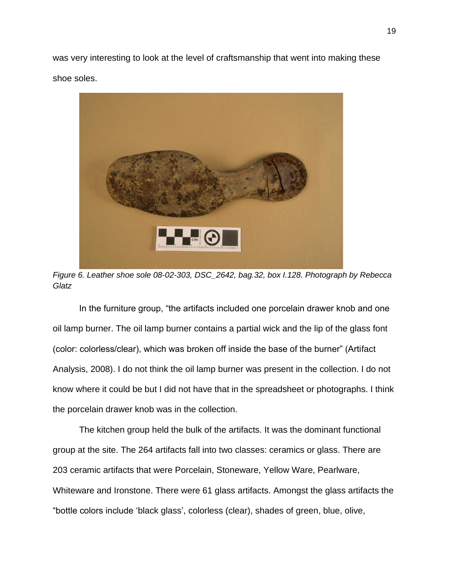was very interesting to look at the level of craftsmanship that went into making these shoe soles.



*Figure 6. Leather shoe sole 08-02-303, DSC\_2642, bag.32, box I.128. Photograph by Rebecca Glatz*

In the furniture group, "the artifacts included one porcelain drawer knob and one oil lamp burner. The oil lamp burner contains a partial wick and the lip of the glass font (color: colorless/clear), which was broken off inside the base of the burner" (Artifact Analysis, 2008). I do not think the oil lamp burner was present in the collection. I do not know where it could be but I did not have that in the spreadsheet or photographs. I think the porcelain drawer knob was in the collection.

The kitchen group held the bulk of the artifacts. It was the dominant functional group at the site. The 264 artifacts fall into two classes: ceramics or glass. There are 203 ceramic artifacts that were Porcelain, Stoneware, Yellow Ware, Pearlware, Whiteware and Ironstone. There were 61 glass artifacts. Amongst the glass artifacts the "bottle colors include 'black glass', colorless (clear), shades of green, blue, olive,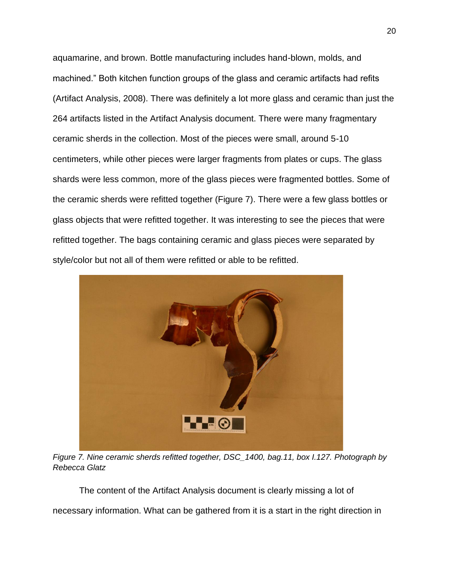aquamarine, and brown. Bottle manufacturing includes hand-blown, molds, and machined." Both kitchen function groups of the glass and ceramic artifacts had refits (Artifact Analysis, 2008). There was definitely a lot more glass and ceramic than just the 264 artifacts listed in the Artifact Analysis document. There were many fragmentary ceramic sherds in the collection. Most of the pieces were small, around 5-10 centimeters, while other pieces were larger fragments from plates or cups. The glass shards were less common, more of the glass pieces were fragmented bottles. Some of the ceramic sherds were refitted together (Figure 7). There were a few glass bottles or glass objects that were refitted together. It was interesting to see the pieces that were refitted together. The bags containing ceramic and glass pieces were separated by style/color but not all of them were refitted or able to be refitted.



*Figure 7. Nine ceramic sherds refitted together, DSC\_1400, bag.11, box I.127. Photograph by Rebecca Glatz*

The content of the Artifact Analysis document is clearly missing a lot of

necessary information. What can be gathered from it is a start in the right direction in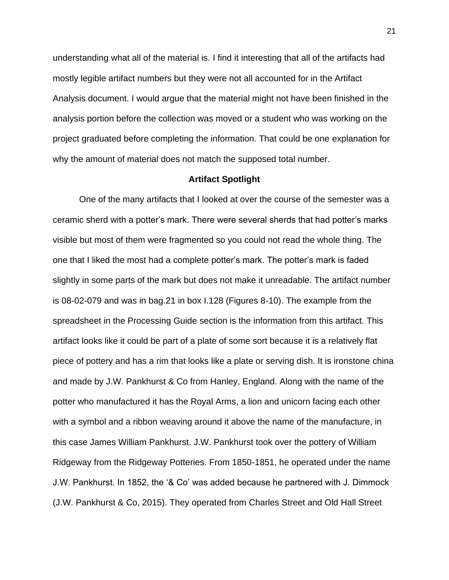understanding what all of the material is. I find it interesting that all of the artifacts had mostly legible artifact numbers but they were not all accounted for in the Artifact Analysis document. I would argue that the material might not have been finished in the analysis portion before the collection was moved or a student who was working on the project graduated before completing the information. That could be one explanation for why the amount of material does not match the supposed total number.

#### **Artifact Spotlight**

One of the many artifacts that I looked at over the course of the semester was a ceramic sherd with a potter's mark. There were several sherds that had potter's marks visible but most of them were fragmented so you could not read the whole thing. The one that I liked the most had a complete potter's mark. The potter's mark is faded slightly in some parts of the mark but does not make it unreadable. The artifact number is 08-02-079 and was in bag.21 in box I.128 (Figures 8-10). The example from the spreadsheet in the Processing Guide section is the information from this artifact. This artifact looks like it could be part of a plate of some sort because it is a relatively flat piece of pottery and has a rim that looks like a plate or serving dish. It is ironstone china and made by J.W. Pankhurst & Co from Hanley, England. Along with the name of the potter who manufactured it has the Royal Arms, a lion and unicorn facing each other with a symbol and a ribbon weaving around it above the name of the manufacture, in this case James William Pankhurst. J.W. Pankhurst took over the pottery of William Ridgeway from the Ridgeway Potteries. From 1850-1851, he operated under the name J.W. Pankhurst. In 1852, the '& Co' was added because he partnered with J. Dimmock (J.W. Pankhurst & Co, 2015). They operated from Charles Street and Old Hall Street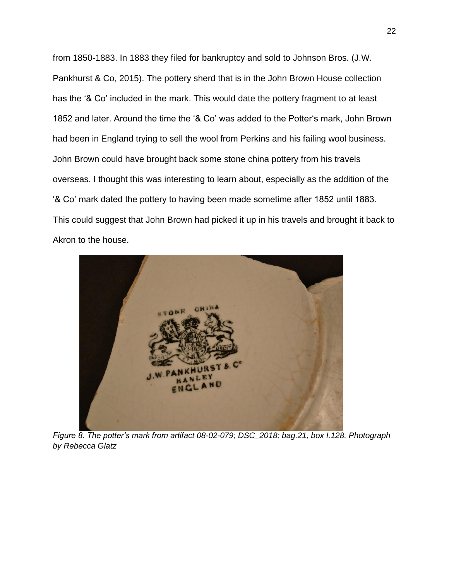from 1850-1883. In 1883 they filed for bankruptcy and sold to Johnson Bros. (J.W. Pankhurst & Co, 2015). The pottery sherd that is in the John Brown House collection has the '& Co' included in the mark. This would date the pottery fragment to at least 1852 and later. Around the time the '& Co' was added to the Potter's mark, John Brown had been in England trying to sell the wool from Perkins and his failing wool business. John Brown could have brought back some stone china pottery from his travels overseas. I thought this was interesting to learn about, especially as the addition of the '& Co' mark dated the pottery to having been made sometime after 1852 until 1883. This could suggest that John Brown had picked it up in his travels and brought it back to Akron to the house.



*Figure 8. The potter's mark from artifact 08-02-079; DSC\_2018; bag.21, box I.128. Photograph by Rebecca Glatz*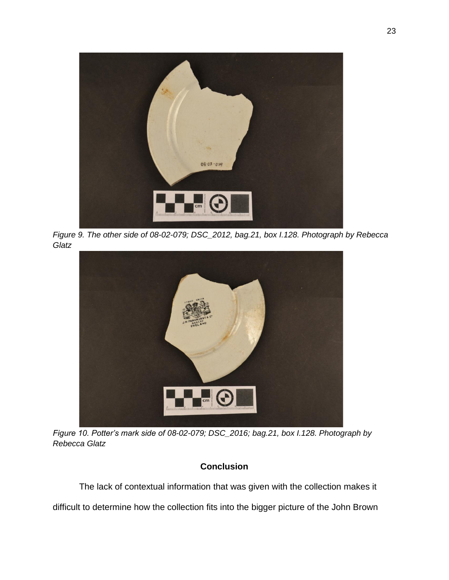

*Figure 9. The other side of 08-02-079; DSC\_2012, bag.21, box I.128. Photograph by Rebecca Glatz*



*Figure 10. Potter's mark side of 08-02-079; DSC\_2016; bag.21, box I.128. Photograph by Rebecca Glatz*

# **Conclusion**

The lack of contextual information that was given with the collection makes it difficult to determine how the collection fits into the bigger picture of the John Brown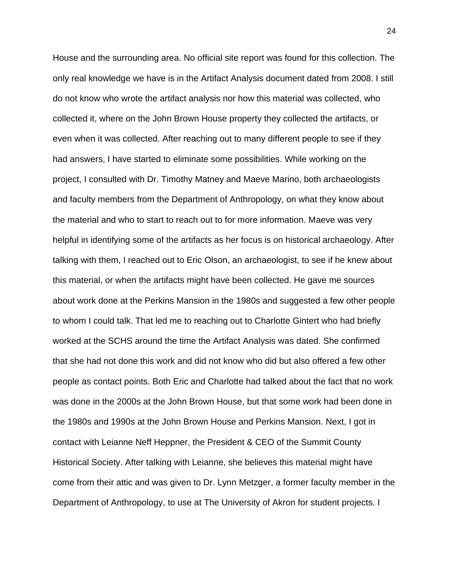House and the surrounding area. No official site report was found for this collection. The only real knowledge we have is in the Artifact Analysis document dated from 2008. I still do not know who wrote the artifact analysis nor how this material was collected, who collected it, where on the John Brown House property they collected the artifacts, or even when it was collected. After reaching out to many different people to see if they had answers, I have started to eliminate some possibilities. While working on the project, I consulted with Dr. Timothy Matney and Maeve Marino, both archaeologists and faculty members from the Department of Anthropology, on what they know about the material and who to start to reach out to for more information. Maeve was very helpful in identifying some of the artifacts as her focus is on historical archaeology. After talking with them, I reached out to Eric Olson, an archaeologist, to see if he knew about this material, or when the artifacts might have been collected. He gave me sources about work done at the Perkins Mansion in the 1980s and suggested a few other people to whom I could talk. That led me to reaching out to Charlotte Gintert who had briefly worked at the SCHS around the time the Artifact Analysis was dated. She confirmed that she had not done this work and did not know who did but also offered a few other people as contact points. Both Eric and Charlotte had talked about the fact that no work was done in the 2000s at the John Brown House, but that some work had been done in the 1980s and 1990s at the John Brown House and Perkins Mansion. Next, I got in contact with Leianne Neff Heppner, the President & CEO of the Summit County Historical Society. After talking with Leianne, she believes this material might have come from their attic and was given to Dr. Lynn Metzger, a former faculty member in the Department of Anthropology, to use at The University of Akron for student projects. I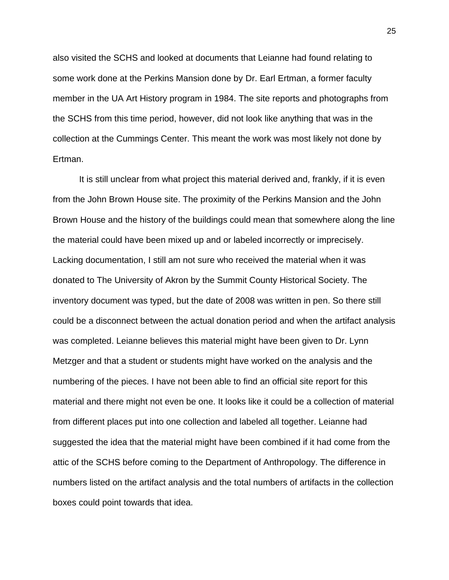also visited the SCHS and looked at documents that Leianne had found relating to some work done at the Perkins Mansion done by Dr. Earl Ertman, a former faculty member in the UA Art History program in 1984. The site reports and photographs from the SCHS from this time period, however, did not look like anything that was in the collection at the Cummings Center. This meant the work was most likely not done by Ertman.

It is still unclear from what project this material derived and, frankly, if it is even from the John Brown House site. The proximity of the Perkins Mansion and the John Brown House and the history of the buildings could mean that somewhere along the line the material could have been mixed up and or labeled incorrectly or imprecisely. Lacking documentation, I still am not sure who received the material when it was donated to The University of Akron by the Summit County Historical Society. The inventory document was typed, but the date of 2008 was written in pen. So there still could be a disconnect between the actual donation period and when the artifact analysis was completed. Leianne believes this material might have been given to Dr. Lynn Metzger and that a student or students might have worked on the analysis and the numbering of the pieces. I have not been able to find an official site report for this material and there might not even be one. It looks like it could be a collection of material from different places put into one collection and labeled all together. Leianne had suggested the idea that the material might have been combined if it had come from the attic of the SCHS before coming to the Department of Anthropology. The difference in numbers listed on the artifact analysis and the total numbers of artifacts in the collection boxes could point towards that idea.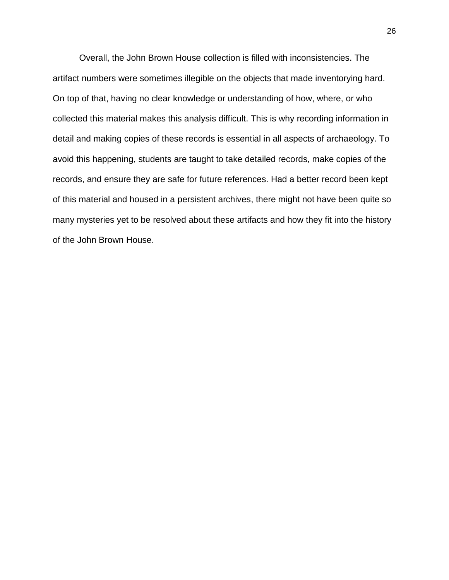Overall, the John Brown House collection is filled with inconsistencies. The artifact numbers were sometimes illegible on the objects that made inventorying hard. On top of that, having no clear knowledge or understanding of how, where, or who collected this material makes this analysis difficult. This is why recording information in detail and making copies of these records is essential in all aspects of archaeology. To avoid this happening, students are taught to take detailed records, make copies of the records, and ensure they are safe for future references. Had a better record been kept of this material and housed in a persistent archives, there might not have been quite so many mysteries yet to be resolved about these artifacts and how they fit into the history of the John Brown House.